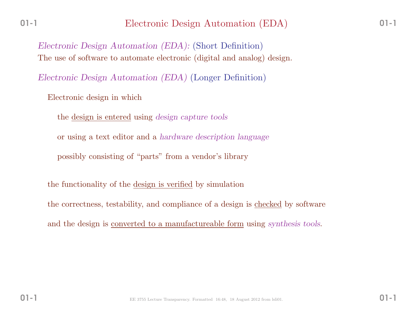*Electronic Design Automation (EDA):* (Short Definition)The use of software to automate electronic (digital and analog) design.

*Electronic Design Automation (EDA)* (Longer Definition)

Electronic design in which

the design is entered using *design capture tools*

or using <sup>a</sup> text editor and <sup>a</sup> *hardware description language*

possibly consisting of "parts" from <sup>a</sup> vendor's library

the functionality of the <u>design is verified</u> by simulation

the correctness, testability, and compliance of a design is <u>checked</u> by software

and the design is converted to <sup>a</sup> manufactureable form using *synthesis tools*.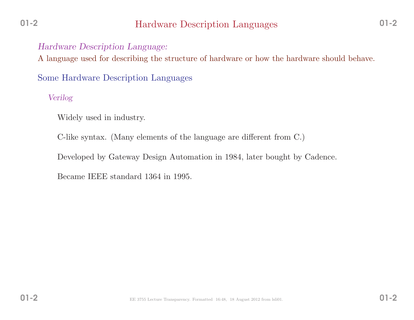# Hardware Description Languages

## *Hardware Description Language:*

<sup>A</sup> language used for describing the structure of hardware or how the hardware should behave.

Some Hardware Description Languages

*Verilog*

Widely used in industry.

C-like syntax. (Many elements of the language are different from C.)

Developed by Gateway Design Automation in 1984, later bought by Cadence.

Became IEEE standard <sup>1364</sup> in 1995.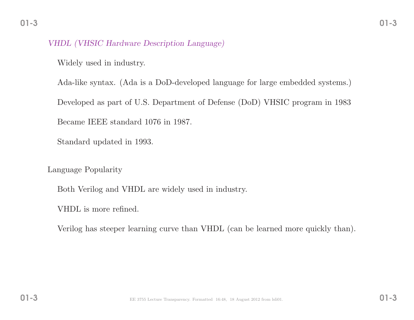#### *VHDL (VHSIC Hardware Description Language)*

Widely used in industry.

Ada-like syntax. (Ada is <sup>a</sup> DoD-developed language for large embedded systems.) Developed as part of U.S. Department of Defense (DoD) VHSIC program in <sup>1983</sup>Became IEEE standard <sup>1076</sup> in 1987.

Standard updated in 1993.

Language Popularity

Both Verilog and VHDL are widely used in industry.

VHDL is more refined.

Verilog has steeper learning curve than VHDL (can be learned more quickly than).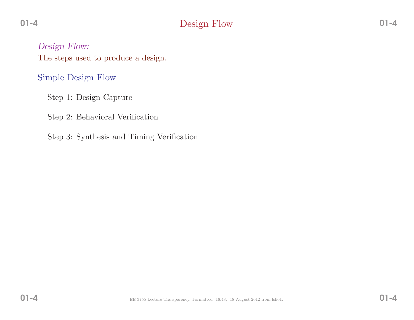# Design Flow

*Design Flow:* The steps used to produce <sup>a</sup> design.

Simple Design Flow

Step 1: Design Capture

Step 2: Behavioral Verification

Step 3: Synthesis and Timing Verification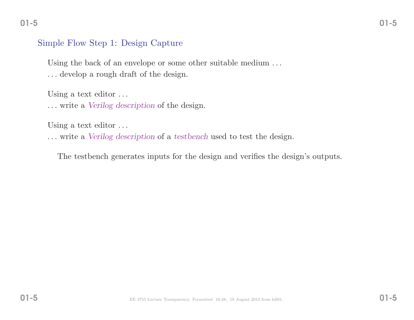#### Simple Flow Step 1: Design Capture

Using the back of an envelope or some other suitable medium ... . . . develop <sup>a</sup> roug<sup>h</sup> draft of the design.

Using a text editor ...

. . . write <sup>a</sup> *Verilog description* of the design.

Using a text editor ...

. . . write <sup>a</sup> *Verilog description* of <sup>a</sup> *testbench* used to test the design.

The testbench generates inputs for the design and verifies the design's outputs.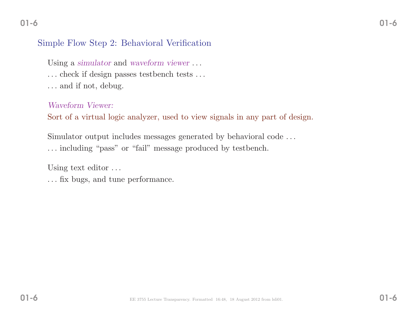# Simple Flow Step 2: Behavioral Verification

Using <sup>a</sup> *simulator* and *waveform viewer* . . .

. . . check if design passes testbench tests . . .

. . . and if not, debug.

*Waveform Viewer:*

Sort of <sup>a</sup> virtual logic analyzer, used to view signals in any part of design.

Simulator output includes messages generated by behavioral code . . .

. . . including "pass" or "fail" message produced by testbench.

Using text editor ...

. . . fix bugs, and tune performance.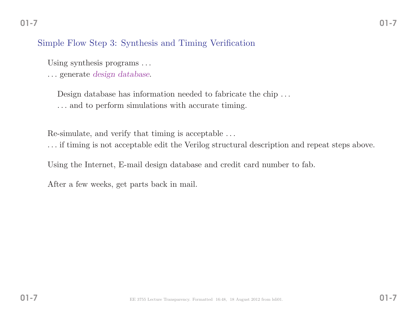## Simple Flow Step 3: Synthesis and Timing Verification

Using synthesis programs ...

. . . generate *design database*.

Design database has information needed to fabricate the chip ... . . . and to perform simulations with accurate timing.

Re-simulate, and verify that timing is acceptable . . .

. . . if timing is not acceptable edit the Verilog structural description and repeat steps above.

Using the Internet, E-mail design database and credit card number to fab.

After <sup>a</sup> few weeks, get parts back in mail.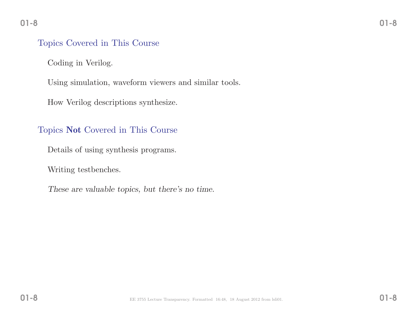#### Topics Covered in This Course

Coding in Verilog.

Using simulation, waveform viewers and similar tools.

How Verilog descriptions synthesize.

# Topics Not Covered in This Course

Details of using synthesis programs.

Writing testbenches.

*These are valuable topics, but there's no time.*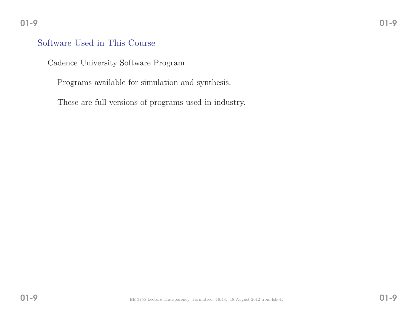#### Software Used in This Course

Cadence University Software Program

Programs available for simulation and synthesis.

These are full versions of programs used in industry.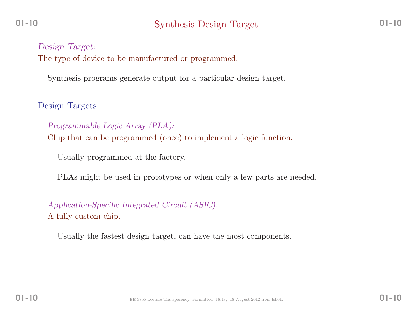*Design Target:* The type of device to be manufactured or programmed.

Synthesis programs generate output for <sup>a</sup> particular design target.

Design Targets

*Programmable Logic Array (PLA):* Chip that can be programmed (once) to implement <sup>a</sup> logic function.

Usually programmed at the factory.

PLAs might be used in prototypes or when only <sup>a</sup> few parts are needed.

*Application-Specific Integrated Circuit (ASIC):* <sup>A</sup> fully custom chip.

Usually the fastest design target, can have the most components.